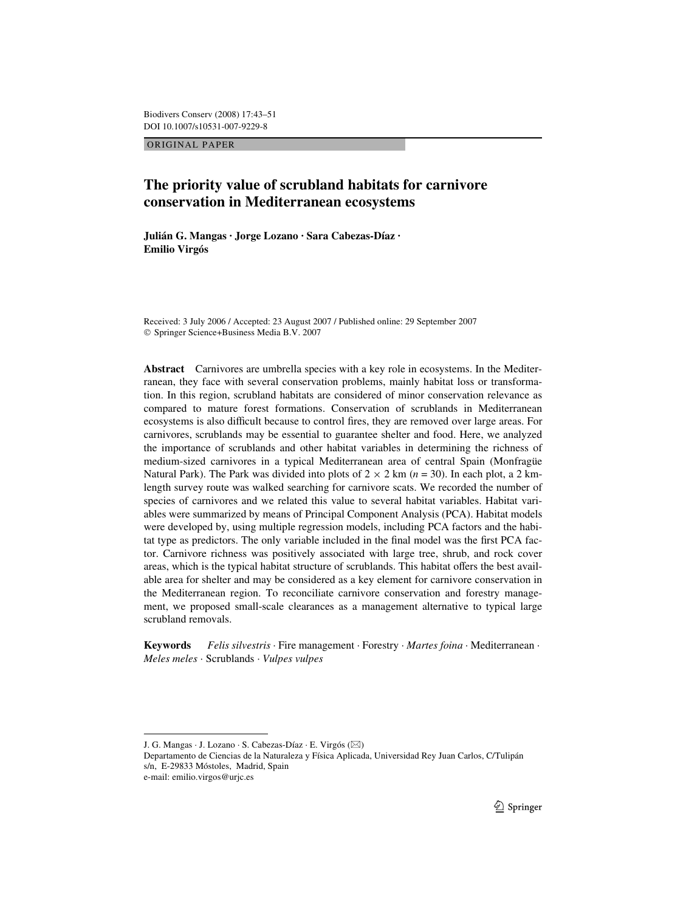ORIGINAL PAPER

# **The priority value of scrubland habitats for carnivore conservation in Mediterranean ecosystems**

**Julián G. Mangas · Jorge Lozano · Sara Cabezas-Díaz · Emilio Virgós** 

Received: 3 July 2006 / Accepted: 23 August 2007 / Published online: 29 September 2007 © Springer Science+Business Media B.V. 2007

**Abstract** Carnivores are umbrella species with a key role in ecosystems. In the Mediterranean, they face with several conservation problems, mainly habitat loss or transformation. In this region, scrubland habitats are considered of minor conservation relevance as compared to mature forest formations. Conservation of scrublands in Mediterranean ecosystems is also difficult because to control fires, they are removed over large areas. For carnivores, scrublands may be essential to guarantee shelter and food. Here, we analyzed the importance of scrublands and other habitat variables in determining the richness of medium-sized carnivores in a typical Mediterranean area of central Spain (Monfragüe Natural Park). The Park was divided into plots of  $2 \times 2$  km ( $n = 30$ ). In each plot, a 2 kmlength survey route was walked searching for carnivore scats. We recorded the number of species of carnivores and we related this value to several habitat variables. Habitat variables were summarized by means of Principal Component Analysis (PCA). Habitat models were developed by, using multiple regression models, including PCA factors and the habitat type as predictors. The only variable included in the final model was the first PCA factor. Carnivore richness was positively associated with large tree, shrub, and rock cover areas, which is the typical habitat structure of scrublands. This habitat offers the best available area for shelter and may be considered as a key element for carnivore conservation in the Mediterranean region. To reconciliate carnivore conservation and forestry management, we proposed small-scale clearances as a management alternative to typical large scrubland removals.

**Keywords** *Felis silvestris* · Fire management · Forestry · *Martes foina* · Mediterranean · *Meles meles* · Scrublands · *Vulpes vulpes*

J. G. Mangas · J. Lozano · S. Cabezas-Díaz · E. Virgós (&)

Departamento de Ciencias de la Naturaleza y Física Aplicada, Universidad Rey Juan Carlos, C/Tulipán s/n, E-29833 Móstoles, Madrid, Spain

e-mail: emilio.virgos@urjc.es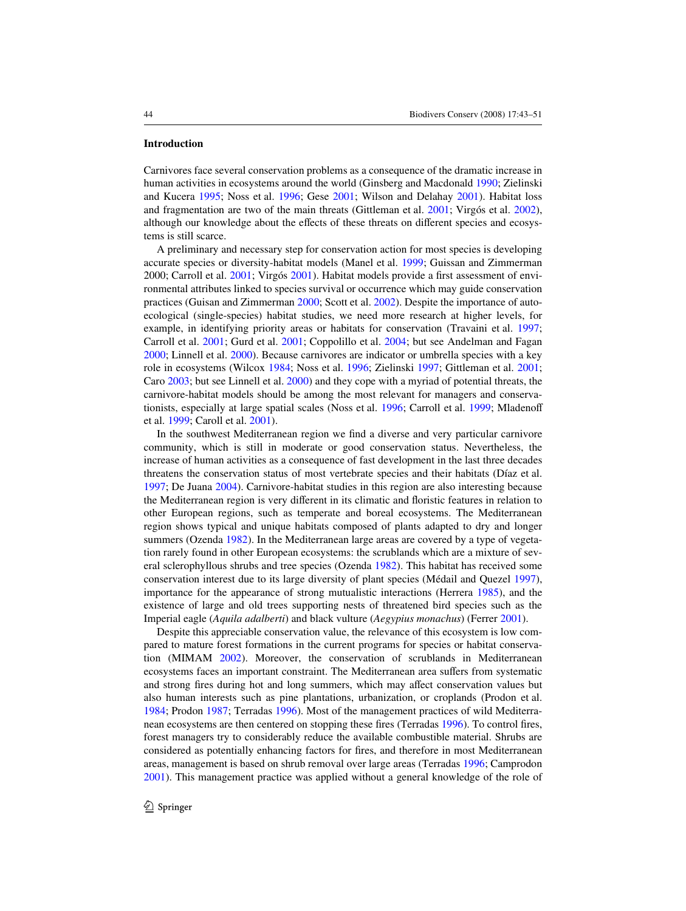## **Introduction**

Carnivores face several conservation problems as a consequence of the dramatic increase in human activities in ecosystems around the world (Ginsberg and Macdonald [1990;](#page-6-0) Zielinski and Kucera [1995;](#page-8-0) Noss et al. [1996;](#page-7-0) Gese [2001;](#page-6-1) Wilson and Delahay [2001\)](#page-8-1). Habitat loss and fragmentation are two of the main threats (Gittleman et al. [2001](#page-6-2); Virgós et al. [2002](#page-7-1)), although our knowledge about the effects of these threats on different species and ecosystems is still scarce.

A preliminary and necessary step for conservation action for most species is developing accurate species or diversity-habitat models (Manel et al. [1999;](#page-7-2) Guissan and Zimmerman 2000; Carroll et al. [2001;](#page-6-3) Virgós [2001](#page-7-3)). Habitat models provide a first assessment of environmental attributes linked to species survival or occurrence which may guide conservation practices (Guisan and Zimmerman [2000](#page-6-4); Scott et al. [2002](#page-7-4)). Despite the importance of autoecological (single-species) habitat studies, we need more research at higher levels, for example, in identifying priority areas or habitats for conservation (Travaini et al. [1997;](#page-7-5) Carroll et al. [2001](#page-6-3); Gurd et al. [2001](#page-6-5); Coppolillo et al. [2004;](#page-6-6) but see Andelman and Fagan [2000;](#page-6-7) Linnell et al. [2000\)](#page-7-6). Because carnivores are indicator or umbrella species with a key role in ecosystems (Wilcox [1984;](#page-7-7) Noss et al. [1996;](#page-7-0) Zielinski [1997](#page-8-2); Gittleman et al. [2001](#page-6-2); Caro [2003;](#page-6-8) but see Linnell et al. [2000\)](#page-7-6) and they cope with a myriad of potential threats, the carnivore-habitat models should be among the most relevant for managers and conserva-tionists, especially at large spatial scales (Noss et al. [1996;](#page-7-0) Carroll et al. [1999](#page-6-9); Mladenoff et al. [1999;](#page-7-8) Caroll et al. [2001\)](#page-6-3).

In the southwest Mediterranean region we find a diverse and very particular carnivore community, which is still in moderate or good conservation status. Nevertheless, the increase of human activities as a consequence of fast development in the last three decades threatens the conservation status of most vertebrate species and their habitats (Díaz et al. [1997;](#page-6-10) De Juana [2004\)](#page-6-11). Carnivore-habitat studies in this region are also interesting because the Mediterranean region is very different in its climatic and floristic features in relation to other European regions, such as temperate and boreal ecosystems. The Mediterranean region shows typical and unique habitats composed of plants adapted to dry and longer summers (Ozenda [1982](#page-7-9)). In the Mediterranean large areas are covered by a type of vegetation rarely found in other European ecosystems: the scrublands which are a mixture of several sclerophyllous shrubs and tree species (Ozenda [1982](#page-7-9)). This habitat has received some conservation interest due to its large diversity of plant species (Médail and Quezel [1997](#page-7-10)), importance for the appearance of strong mutualistic interactions (Herrera [1985\)](#page-6-12), and the existence of large and old trees supporting nests of threatened bird species such as the Imperial eagle (*Aquila adalberti*) and black vulture (*Aegypius monachus*) (Ferrer [2001](#page-6-13)).

Despite this appreciable conservation value, the relevance of this ecosystem is low compared to mature forest formations in the current programs for species or habitat conservation (MIMAM [2002\)](#page-7-11). Moreover, the conservation of scrublands in Mediterranean ecosystems faces an important constraint. The Mediterranean area suffers from systematic and strong fires during hot and long summers, which may affect conservation values but also human interests such as pine plantations, urbanization, or croplands (Prodon et al. [1984;](#page-7-12) Prodon [1987](#page-7-13); Terradas [1996\)](#page-7-14). Most of the management practices of wild Mediterra-nean ecosystems are then centered on stopping these fires (Terradas [1996](#page-7-14)). To control fires, forest managers try to considerably reduce the available combustible material. Shrubs are considered as potentially enhancing factors for fires, and therefore in most Mediterranean areas, management is based on shrub removal over large areas (Terradas [1996;](#page-7-14) Camprodon [2001\)](#page-6-14). This management practice was applied without a general knowledge of the role of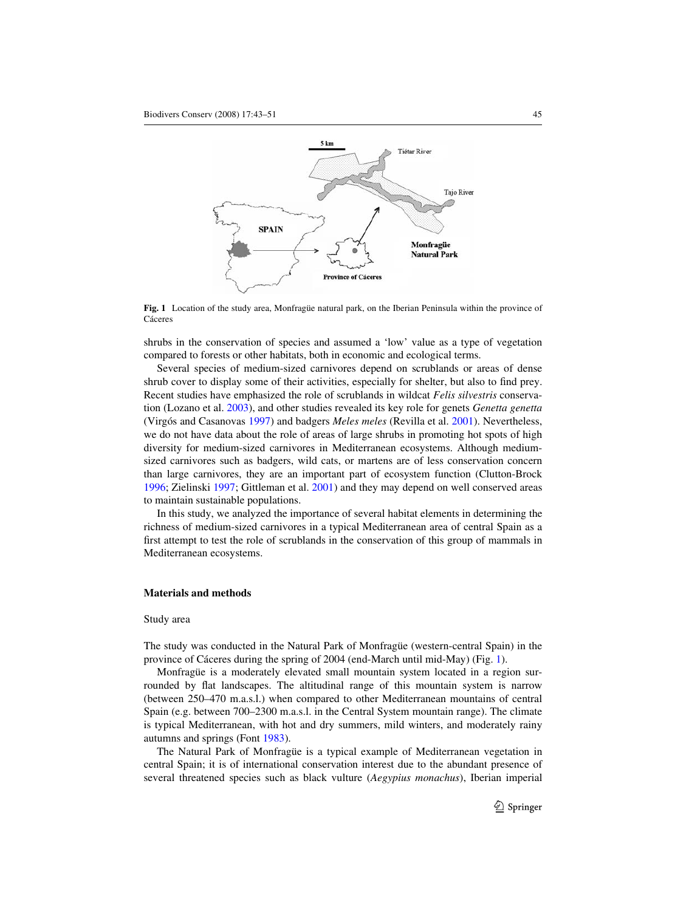

<span id="page-2-0"></span>**Fig. 1** Location of the study area, Monfragüe natural park, on the Iberian Peninsula within the province of Cáceres

shrubs in the conservation of species and assumed a 'low' value as a type of vegetation compared to forests or other habitats, both in economic and ecological terms.

Several species of medium-sized carnivores depend on scrublands or areas of dense shrub cover to display some of their activities, especially for shelter, but also to find prey. Recent studies have emphasized the role of scrublands in wildcat *Felis silvestris* conservation (Lozano et al. [2003\)](#page-7-15), and other studies revealed its key role for genets *Genetta genetta* (Virgós and Casanovas [1997\)](#page-7-16) and badgers *Meles meles* (Revilla et al. [2001](#page-7-17)). Nevertheless, we do not have data about the role of areas of large shrubs in promoting hot spots of high diversity for medium-sized carnivores in Mediterranean ecosystems. Although mediumsized carnivores such as badgers, wild cats, or martens are of less conservation concern than large carnivores, they are an important part of ecosystem function (Clutton-Brock [1996;](#page-6-15) Zielinski [1997](#page-8-2); Gittleman et al. [2001\)](#page-6-2) and they may depend on well conserved areas to maintain sustainable populations.

In this study, we analyzed the importance of several habitat elements in determining the richness of medium-sized carnivores in a typical Mediterranean area of central Spain as a first attempt to test the role of scrublands in the conservation of this group of mammals in Mediterranean ecosystems.

# **Materials and methods**

#### Study area

The study was conducted in the Natural Park of Monfragüe (western-central Spain) in the province of Cáceres during the spring of 2004 (end-March until mid-May) (Fig. [1](#page-2-0)).

Monfragüe is a moderately elevated small mountain system located in a region surrounded by flat landscapes. The altitudinal range of this mountain system is narrow (between 250–470 m.a.s.l.) when compared to other Mediterranean mountains of central Spain (e.g. between 700–2300 m.a.s.l. in the Central System mountain range). The climate is typical Mediterranean, with hot and dry summers, mild winters, and moderately rainy autumns and springs (Font [1983](#page-6-16)).

The Natural Park of Monfragüe is a typical example of Mediterranean vegetation in central Spain; it is of international conservation interest due to the abundant presence of several threatened species such as black vulture (*Aegypius monachus*), Iberian imperial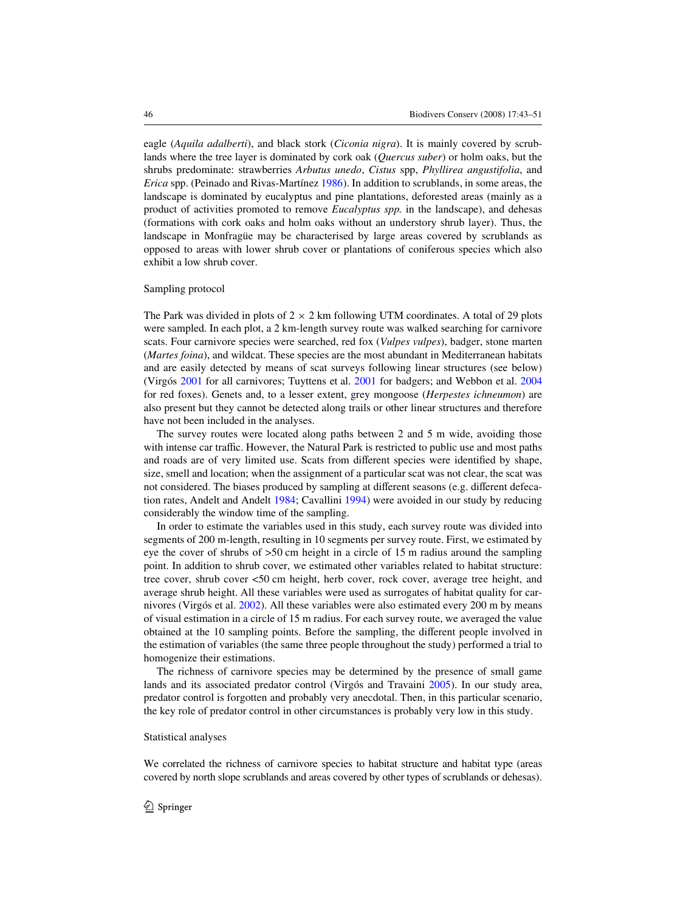eagle (*Aquila adalberti*), and black stork (*Ciconia nigra*). It is mainly covered by scrublands where the tree layer is dominated by cork oak (*Quercus suber*) or holm oaks, but the shrubs predominate: strawberries *Arbutus unedo*, *Cistus* spp, *Phyllirea angustifolia*, and *Erica* spp. (Peinado and Rivas-Martínez 1986). In addition to scrublands, in some areas, the landscape is dominated by eucalyptus and pine plantations, deforested areas (mainly as a product of activities promoted to remove *Eucalyptus spp.* in the landscape), and dehesas (formations with cork oaks and holm oaks without an understory shrub layer). Thus, the landscape in Monfragüe may be characterised by large areas covered by scrublands as opposed to areas with lower shrub cover or plantations of coniferous species which also exhibit a low shrub cover.

#### Sampling protocol

The Park was divided in plots of  $2 \times 2$  km following UTM coordinates. A total of 29 plots were sampled. In each plot, a 2 km-length survey route was walked searching for carnivore scats. Four carnivore species were searched, red fox (*Vulpes vulpes*), badger, stone marten (*Martes foina*), and wildcat. These species are the most abundant in Mediterranean habitats and are easily detected by means of scat surveys following linear structures (see below) (Virgós [2001](#page-7-3) for all carnivores; Tuyttens et al. [2001](#page-7-18) for badgers; and Webbon et al. [2004](#page-7-19) for red foxes). Genets and, to a lesser extent, grey mongoose (*Herpestes ichneumon*) are also present but they cannot be detected along trails or other linear structures and therefore have not been included in the analyses.

The survey routes were located along paths between 2 and 5 m wide, avoiding those with intense car traffic. However, the Natural Park is restricted to public use and most paths and roads are of very limited use. Scats from different species were identified by shape, size, smell and location; when the assignment of a particular scat was not clear, the scat was not considered. The biases produced by sampling at different seasons (e.g. different defecation rates, Andelt and Andelt [1984;](#page-6-17) Cavallini [1994](#page-6-18)) were avoided in our study by reducing considerably the window time of the sampling.

In order to estimate the variables used in this study, each survey route was divided into segments of 200 m-length, resulting in 10 segments per survey route. First, we estimated by eye the cover of shrubs of >50 cm height in a circle of 15 m radius around the sampling point. In addition to shrub cover, we estimated other variables related to habitat structure: tree cover, shrub cover <50 cm height, herb cover, rock cover, average tree height, and average shrub height. All these variables were used as surrogates of habitat quality for carnivores (Virgós et al. [2002](#page-7-1)). All these variables were also estimated every 200 m by means of visual estimation in a circle of 15 m radius. For each survey route, we averaged the value obtained at the 10 sampling points. Before the sampling, the different people involved in the estimation of variables (the same three people throughout the study) performed a trial to homogenize their estimations.

The richness of carnivore species may be determined by the presence of small game lands and its associated predator control (Virgós and Travaini [2005](#page-7-20)). In our study area, predator control is forgotten and probably very anecdotal. Then, in this particular scenario, the key role of predator control in other circumstances is probably very low in this study.

### Statistical analyses

We correlated the richness of carnivore species to habitat structure and habitat type (areas covered by north slope scrublands and areas covered by other types of scrublands or dehesas).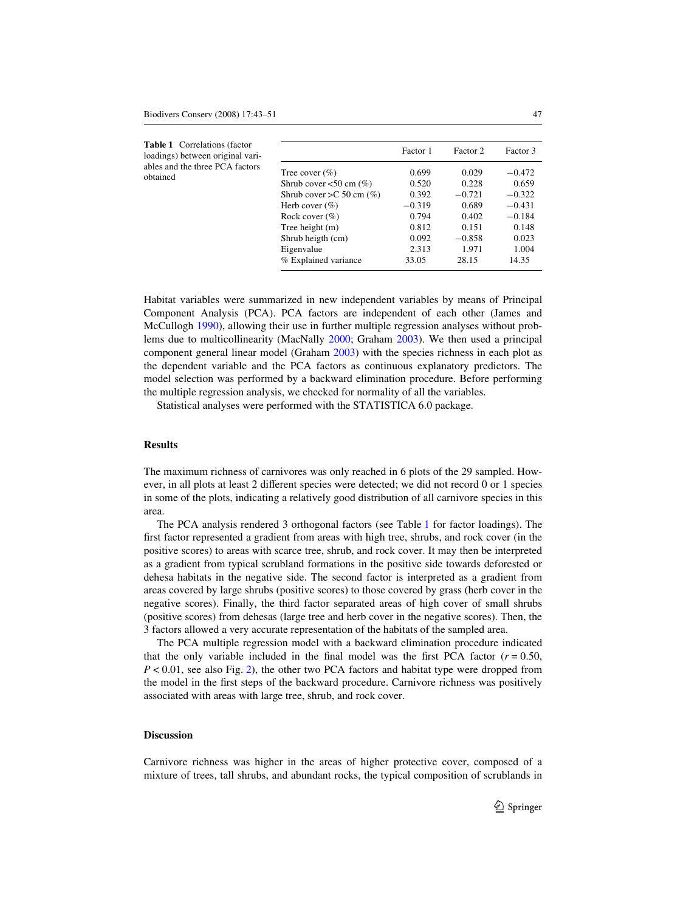<span id="page-4-0"></span>

| <b>Table 1</b> Correlations (factor<br>loadings) between original vari-<br>ables and the three PCA factors<br>obtained |                                                                                                                                                                                                                | Factor 1                                                                         | Factor 2                                                                            | Factor 3                                                                                  |
|------------------------------------------------------------------------------------------------------------------------|----------------------------------------------------------------------------------------------------------------------------------------------------------------------------------------------------------------|----------------------------------------------------------------------------------|-------------------------------------------------------------------------------------|-------------------------------------------------------------------------------------------|
|                                                                                                                        | Tree cover $(\% )$<br>Shrub cover $< 50$ cm $(\%)$<br>Shrub cover $>C$ 50 cm $(\%)$<br>Herb cover $(\%)$<br>Rock cover $(\% )$<br>Tree height $(m)$<br>Shrub heigth (cm)<br>Eigenvalue<br>% Explained variance | 0.699<br>0.520<br>0.392<br>$-0.319$<br>0.794<br>0.812<br>0.092<br>2.313<br>33.05 | 0.029<br>0.228<br>$-0.721$<br>0.689<br>0.402<br>0.151<br>$-0.858$<br>1.971<br>28.15 | $-0.472$<br>0.659<br>$-0.322$<br>$-0.431$<br>$-0.184$<br>0.148<br>0.023<br>1.004<br>14.35 |
|                                                                                                                        |                                                                                                                                                                                                                |                                                                                  |                                                                                     |                                                                                           |

Habitat variables were summarized in new independent variables by means of Principal Component Analysis (PCA). PCA factors are independent of each other (James and McCullogh [1990\)](#page-7-21), allowing their use in further multiple regression analyses without problems due to multicollinearity (MacNally [2000](#page-7-22); Graham [2003](#page-6-19)). We then used a principal component general linear model (Graham [2003](#page-6-19)) with the species richness in each plot as the dependent variable and the PCA factors as continuous explanatory predictors. The model selection was performed by a backward elimination procedure. Before performing the multiple regression analysis, we checked for normality of all the variables.

Statistical analyses were performed with the STATISTICA 6.0 package.

# **Results**

The maximum richness of carnivores was only reached in 6 plots of the 29 sampled. However, in all plots at least 2 different species were detected; we did not record  $0$  or 1 species in some of the plots, indicating a relatively good distribution of all carnivore species in this area.

The PCA analysis rendered 3 orthogonal factors (see Table [1](#page-4-0) for factor loadings). The first factor represented a gradient from areas with high tree, shrubs, and rock cover (in the positive scores) to areas with scarce tree, shrub, and rock cover. It may then be interpreted as a gradient from typical scrubland formations in the positive side towards deforested or dehesa habitats in the negative side. The second factor is interpreted as a gradient from areas covered by large shrubs (positive scores) to those covered by grass (herb cover in the negative scores). Finally, the third factor separated areas of high cover of small shrubs (positive scores) from dehesas (large tree and herb cover in the negative scores). Then, the 3 factors allowed a very accurate representation of the habitats of the sampled area.

The PCA multiple regression model with a backward elimination procedure indicated that the only variable included in the final model was the first PCA factor  $(r = 0.50)$ , *P* < 0.01, see also Fig. [2](#page-5-0)), the other two PCA factors and habitat type were dropped from the model in the first steps of the backward procedure. Carnivore richness was positively associated with areas with large tree, shrub, and rock cover.

## **Discussion**

Carnivore richness was higher in the areas of higher protective cover, composed of a mixture of trees, tall shrubs, and abundant rocks, the typical composition of scrublands in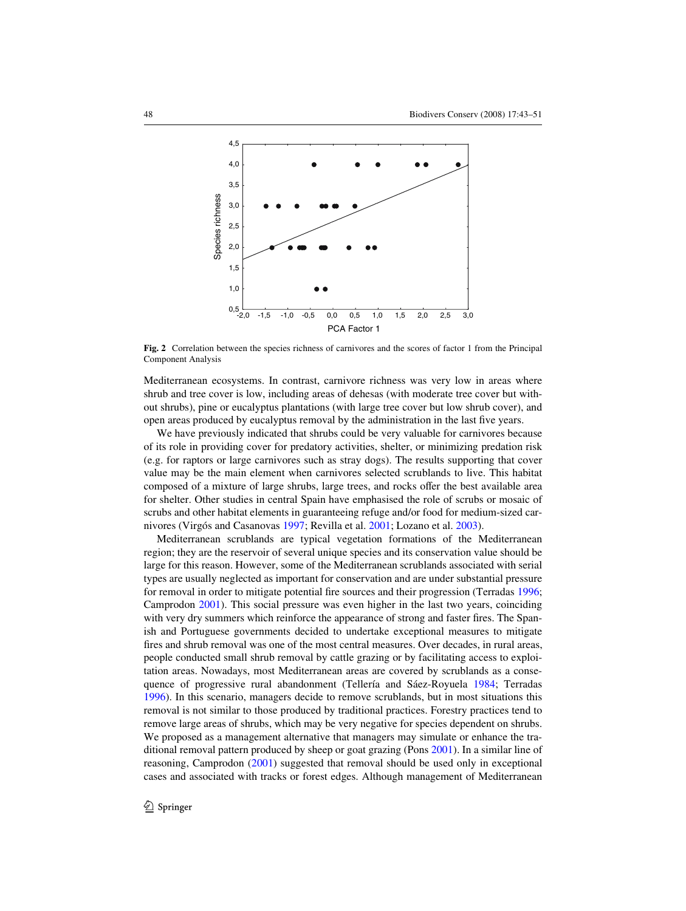

<span id="page-5-0"></span>**Fig. 2** Correlation between the species richness of carnivores and the scores of factor 1 from the Principal Component Analysis

Mediterranean ecosystems. In contrast, carnivore richness was very low in areas where shrub and tree cover is low, including areas of dehesas (with moderate tree cover but without shrubs), pine or eucalyptus plantations (with large tree cover but low shrub cover), and open areas produced by eucalyptus removal by the administration in the last five years.

We have previously indicated that shrubs could be very valuable for carnivores because of its role in providing cover for predatory activities, shelter, or minimizing predation risk (e.g. for raptors or large carnivores such as stray dogs). The results supporting that cover value may be the main element when carnivores selected scrublands to live. This habitat composed of a mixture of large shrubs, large trees, and rocks offer the best available area for shelter. Other studies in central Spain have emphasised the role of scrubs or mosaic of scrubs and other habitat elements in guaranteeing refuge and/or food for medium-sized carnivores (Virgós and Casanovas [1997](#page-7-16); Revilla et al. [2001](#page-7-17); Lozano et al. [2003\)](#page-7-15).

Mediterranean scrublands are typical vegetation formations of the Mediterranean region; they are the reservoir of several unique species and its conservation value should be large for this reason. However, some of the Mediterranean scrublands associated with serial types are usually neglected as important for conservation and are under substantial pressure for removal in order to mitigate potential fire sources and their progression (Terradas [1996](#page-7-14); Camprodon [2001\)](#page-6-14). This social pressure was even higher in the last two years, coinciding with very dry summers which reinforce the appearance of strong and faster fires. The Spanish and Portuguese governments decided to undertake exceptional measures to mitigate fires and shrub removal was one of the most central measures. Over decades, in rural areas, people conducted small shrub removal by cattle grazing or by facilitating access to exploitation areas. Nowadays, most Mediterranean areas are covered by scrublands as a consequence of progressive rural abandonment (Tellería and Sáez-Royuela [1984;](#page-7-23) Terradas [1996\)](#page-7-14). In this scenario, managers decide to remove scrublands, but in most situations this removal is not similar to those produced by traditional practices. Forestry practices tend to remove large areas of shrubs, which may be very negative for species dependent on shrubs. We proposed as a management alternative that managers may simulate or enhance the traditional removal pattern produced by sheep or goat grazing (Pons [2001](#page-7-24)). In a similar line of reasoning, Camprodon [\(2001](#page-6-14)) suggested that removal should be used only in exceptional cases and associated with tracks or forest edges. Although management of Mediterranean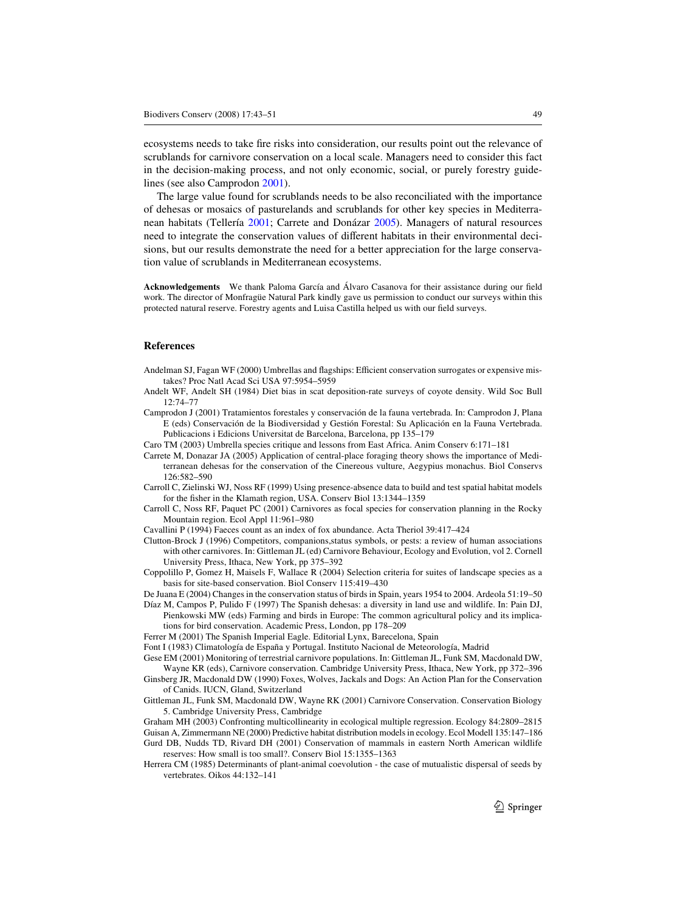ecosystems needs to take fire risks into consideration, our results point out the relevance of scrublands for carnivore conservation on a local scale. Managers need to consider this fact in the decision-making process, and not only economic, social, or purely forestry guidelines (see also Camprodon [2001\)](#page-6-14).

The large value found for scrublands needs to be also reconciliated with the importance of dehesas or mosaics of pasturelands and scrublands for other key species in Mediterranean habitats (Tellería [2001](#page-7-25); Carrete and Donázar [2005\)](#page-6-20). Managers of natural resources need to integrate the conservation values of different habitats in their environmental deci-sions, but our results demonstrate the need for a better appreciation for the large conservation value of scrublands in Mediterranean ecosystems.

**Acknowledgements** We thank Paloma García and Álvaro Casanova for their assistance during our field work. The director of Monfragüe Natural Park kindly gave us permission to conduct our surveys within this protected natural reserve. Forestry agents and Luisa Castilla helped us with our field surveys.

## **References**

- <span id="page-6-7"></span>Andelman SJ, Fagan WF (2000) Umbrellas and flagships: Efficient conservation surrogates or expensive mistakes? Proc Natl Acad Sci USA 97:5954–5959
- <span id="page-6-17"></span>Andelt WF, Andelt SH (1984) Diet bias in scat deposition-rate surveys of coyote density. Wild Soc Bull 12:74–77
- <span id="page-6-14"></span>Camprodon J (2001) Tratamientos forestales y conservación de la fauna vertebrada. In: Camprodon J, Plana E (eds) Conservación de la Biodiversidad y Gestión Forestal: Su Aplicación en la Fauna Vertebrada. Publicacions i Edicions Universitat de Barcelona, Barcelona, pp 135–179
- <span id="page-6-8"></span>Caro TM (2003) Umbrella species critique and lessons from East Africa. Anim Conserv 6:171–181
- <span id="page-6-20"></span>Carrete M, Donazar JA (2005) Application of central-place foraging theory shows the importance of Mediterranean dehesas for the conservation of the Cinereous vulture, Aegypius monachus. Biol Conservs 126:582–590
- <span id="page-6-9"></span>Carroll C, Zielinski WJ, Noss RF (1999) Using presence-absence data to build and test spatial habitat models for the fisher in the Klamath region, USA. Conserv Biol 13:1344–1359
- <span id="page-6-3"></span>Carroll C, Noss RF, Paquet PC (2001) Carnivores as focal species for conservation planning in the Rocky Mountain region. Ecol Appl 11:961–980
- <span id="page-6-18"></span>Cavallini P (1994) Faeces count as an index of fox abundance. Acta Theriol 39:417–424
- <span id="page-6-15"></span>Clutton-Brock J (1996) Competitors, companions,status symbols, or pests: a review of human associations with other carnivores. In: Gittleman JL (ed) Carnivore Behaviour, Ecology and Evolution, vol 2. Cornell University Press, Ithaca, New York, pp 375–392
- <span id="page-6-6"></span>Coppolillo P, Gomez H, Maisels F, Wallace R (2004) Selection criteria for suites of landscape species as a basis for site-based conservation. Biol Conserv 115:419–430
- <span id="page-6-11"></span>De Juana E (2004) Changes in the conservation status of birds in Spain, years 1954 to 2004. Ardeola 51:19–50
- <span id="page-6-10"></span>Díaz M, Campos P, Pulido F (1997) The Spanish dehesas: a diversity in land use and wildlife. In: Pain DJ, Pienkowski MW (eds) Farming and birds in Europe: The common agricultural policy and its implications for bird conservation. Academic Press, London, pp 178–209
- <span id="page-6-13"></span>Ferrer M (2001) The Spanish Imperial Eagle. Editorial Lynx, Barecelona, Spain
- <span id="page-6-16"></span>Font I (1983) Climatología de España y Portugal. Instituto Nacional de Meteorología, Madrid
- <span id="page-6-1"></span>Gese EM (2001) Monitoring of terrestrial carnivore populations. In: Gittleman JL, Funk SM, Macdonald DW, Wayne KR (eds), Carnivore conservation. Cambridge University Press, Ithaca, New York, pp 372–396
- <span id="page-6-0"></span>Ginsberg JR, Macdonald DW (1990) Foxes, Wolves, Jackals and Dogs: An Action Plan for the Conservation of Canids. IUCN, Gland, Switzerland
- <span id="page-6-2"></span>Gittleman JL, Funk SM, Macdonald DW, Wayne RK (2001) Carnivore Conservation. Conservation Biology 5. Cambridge University Press, Cambridge
- <span id="page-6-19"></span>Graham MH (2003) Confronting multicollinearity in ecological multiple regression. Ecology 84:2809–2815
- <span id="page-6-4"></span>Guisan A, Zimmermann NE (2000) Predictive habitat distribution models in ecology. Ecol Modell 135:147–186
- <span id="page-6-5"></span>Gurd DB, Nudds TD, Rivard DH (2001) Conservation of mammals in eastern North American wildlife reserves: How small is too small?. Conserv Biol 15:1355–1363
- <span id="page-6-12"></span>Herrera CM (1985) Determinants of plant-animal coevolution - the case of mutualistic dispersal of seeds by vertebrates. Oikos 44:132–141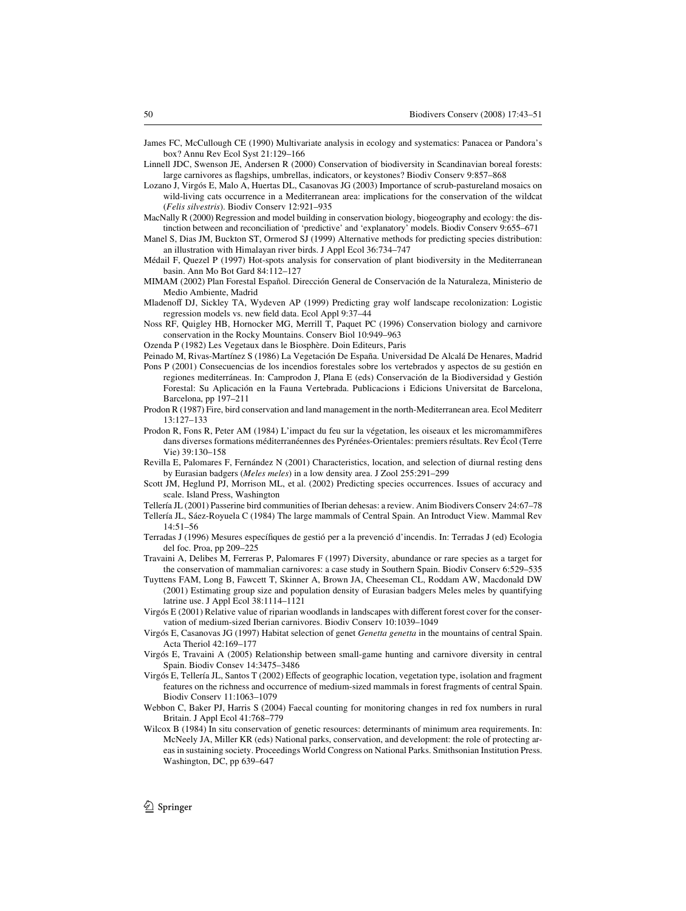- <span id="page-7-21"></span>James FC, McCullough CE (1990) Multivariate analysis in ecology and systematics: Panacea or Pandora's box? Annu Rev Ecol Syst 21:129–166
- <span id="page-7-6"></span>Linnell JDC, Swenson JE, Andersen R (2000) Conservation of biodiversity in Scandinavian boreal forests: large carnivores as flagships, umbrellas, indicators, or keystones? Biodiv Conserv 9:857-868
- <span id="page-7-15"></span>Lozano J, Virgós E, Malo A, Huertas DL, Casanovas JG (2003) Importance of scrub-pastureland mosaics on wild-living cats occurrence in a Mediterranean area: implications for the conservation of the wildcat (*Felis silvestris*). Biodiv Conserv 12:921–935
- <span id="page-7-22"></span>MacNally R (2000) Regression and model building in conservation biology, biogeography and ecology: the distinction between and reconciliation of 'predictive' and 'explanatory' models. Biodiv Conserv 9:655–671
- <span id="page-7-2"></span>Manel S, Dias JM, Buckton ST, Ormerod SJ (1999) Alternative methods for predicting species distribution: an illustration with Himalayan river birds. J Appl Ecol 36:734–747
- <span id="page-7-10"></span>Médail F, Quezel P (1997) Hot-spots analysis for conservation of plant biodiversity in the Mediterranean basin. Ann Mo Bot Gard 84:112–127
- <span id="page-7-11"></span>MIMAM (2002) Plan Forestal Español. Dirección General de Conservación de la Naturaleza, Ministerio de Medio Ambiente, Madrid
- <span id="page-7-8"></span>Mladenoff DJ, Sickley TA, Wydeven AP (1999) Predicting gray wolf landscape recolonization: Logistic regression models vs. new field data. Ecol Appl 9:37-44
- <span id="page-7-0"></span>Noss RF, Quigley HB, Hornocker MG, Merrill T, Paquet PC (1996) Conservation biology and carnivore conservation in the Rocky Mountains. Conserv Biol 10:949–963
- <span id="page-7-9"></span>Ozenda P (1982) Les Vegetaux dans le Biosphère. Doin Editeurs, Paris
- Peinado M, Rivas-Martínez S (1986) La Vegetación De España. Universidad De Alcalá De Henares, Madrid
- <span id="page-7-24"></span>Pons P (2001) Consecuencias de los incendios forestales sobre los vertebrados y aspectos de su gestión en regiones mediterráneas. In: Camprodon J, Plana E (eds) Conservación de la Biodiversidad y Gestión Forestal: Su Aplicación en la Fauna Vertebrada. Publicacions i Edicions Universitat de Barcelona, Barcelona, pp 197–211
- <span id="page-7-13"></span>Prodon R (1987) Fire, bird conservation and land management in the north-Mediterranean area. Ecol Mediterr 13:127–133
- <span id="page-7-12"></span>Prodon R, Fons R, Peter AM (1984) L'impact du feu sur la végetation, les oiseaux et les micromammifères dans diverses formations méditerranéennes des Pyrénées-Orientales: premiers résultats. Rev Écol (Terre Vie) 39:130–158
- <span id="page-7-17"></span>Revilla E, Palomares F, Fernández N (2001) Characteristics, location, and selection of diurnal resting dens by Eurasian badgers (*Meles meles*) in a low density area. J Zool 255:291–299
- <span id="page-7-4"></span>Scott JM, Heglund PJ, Morrison ML, et al. (2002) Predicting species occurrences. Issues of accuracy and scale. Island Press, Washington
- <span id="page-7-25"></span>Tellería JL (2001) Passerine bird communities of Iberian dehesas: a review. Anim Biodivers Conserv 24:67–78
- <span id="page-7-23"></span>Tellería JL, Sáez-Royuela C (1984) The large mammals of Central Spain. An Introduct View. Mammal Rev 14:51–56
- <span id="page-7-14"></span>Terradas J (1996) Mesures específiques de gestió per a la prevenció d'incendis. In: Terradas J (ed) Ecologia del foc. Proa, pp 209–225
- <span id="page-7-5"></span>Travaini A, Delibes M, Ferreras P, Palomares F (1997) Diversity, abundance or rare species as a target for the conservation of mammalian carnivores: a case study in Southern Spain. Biodiv Conserv 6:529–535
- <span id="page-7-18"></span>Tuyttens FAM, Long B, Fawcett T, Skinner A, Brown JA, Cheeseman CL, Roddam AW, Macdonald DW (2001) Estimating group size and population density of Eurasian badgers Meles meles by quantifying latrine use. J Appl Ecol 38:1114–1121
- <span id="page-7-3"></span>Virgós  $E(2001)$  Relative value of riparian woodlands in landscapes with different forest cover for the conservation of medium-sized Iberian carnivores. Biodiv Conserv 10:1039–1049
- <span id="page-7-16"></span>Virgós E, Casanovas JG (1997) Habitat selection of genet *Genetta genetta* in the mountains of central Spain. Acta Theriol 42:169–177
- <span id="page-7-20"></span>Virgós E, Travaini A (2005) Relationship between small-game hunting and carnivore diversity in central Spain. Biodiv Consev 14:3475–3486
- <span id="page-7-1"></span>Virgós E, Tellería JL, Santos T (2002) Effects of geographic location, vegetation type, isolation and fragment features on the richness and occurrence of medium-sized mammals in forest fragments of central Spain. Biodiv Conserv 11:1063–1079
- <span id="page-7-19"></span>Webbon C, Baker PJ, Harris S (2004) Faecal counting for monitoring changes in red fox numbers in rural Britain. J Appl Ecol 41:768–779
- <span id="page-7-7"></span>Wilcox B (1984) In situ conservation of genetic resources: determinants of minimum area requirements. In: McNeely JA, Miller KR (eds) National parks, conservation, and development: the role of protecting areas in sustaining society. Proceedings World Congress on National Parks. Smithsonian Institution Press. Washington, DC, pp 639–647